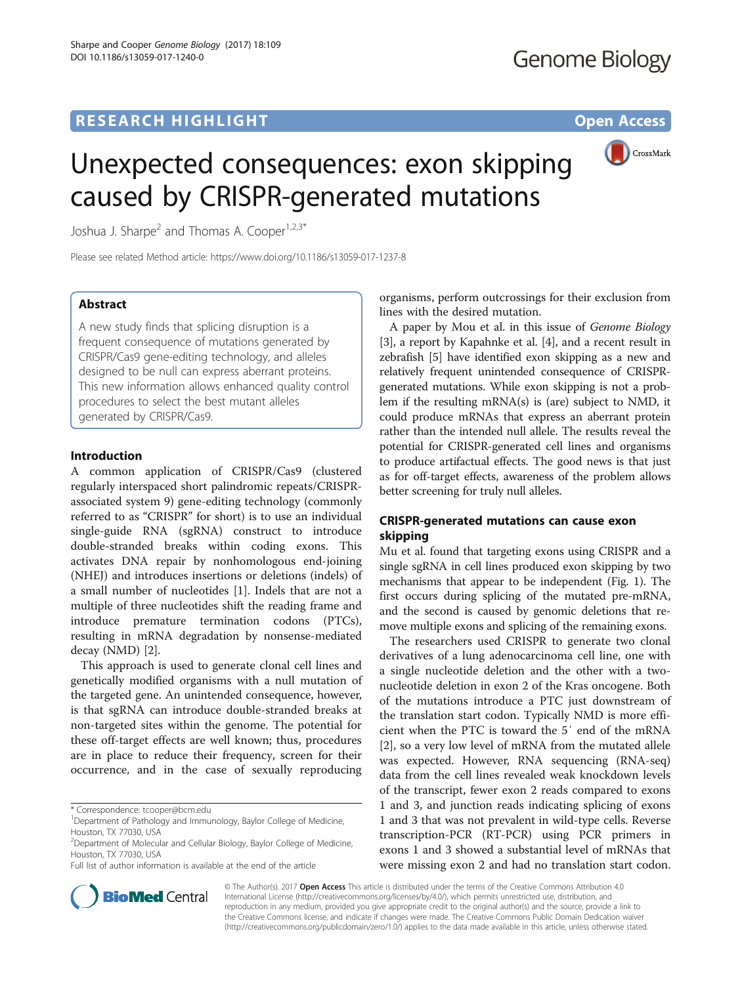# **RESEARCH HIGHLIGHT** THE OPEN ACCESS OPEN ACCESS



# Unexpected consequences: exon skipping caused by CRISPR-generated mutations

Joshua J. Sharpe<sup>2</sup> and Thomas A. Cooper<sup>1,2,3\*</sup>

Please see related Method article:<https://www.doi.org/10.1186/s13059-017-1237-8>

# Abstract

A new study finds that splicing disruption is a frequent consequence of mutations generated by CRISPR/Cas9 gene-editing technology, and alleles designed to be null can express aberrant proteins. This new information allows enhanced quality control procedures to select the best mutant alleles generated by CRISPR/Cas9.

## Introduction

A common application of CRISPR/Cas9 (clustered regularly interspaced short palindromic repeats/CRISPRassociated system 9) gene-editing technology (commonly referred to as "CRISPR" for short) is to use an individual single-guide RNA (sgRNA) construct to introduce double-stranded breaks within coding exons. This activates DNA repair by nonhomologous end-joining (NHEJ) and introduces insertions or deletions (indels) of a small number of nucleotides [[1\]](#page-2-0). Indels that are not a multiple of three nucleotides shift the reading frame and introduce premature termination codons (PTCs), resulting in mRNA degradation by nonsense-mediated decay (NMD) [[2\]](#page-2-0).

This approach is used to generate clonal cell lines and genetically modified organisms with a null mutation of the targeted gene. An unintended consequence, however, is that sgRNA can introduce double-stranded breaks at non-targeted sites within the genome. The potential for these off-target effects are well known; thus, procedures are in place to reduce their frequency, screen for their occurrence, and in the case of sexually reproducing

Full list of author information is available at the end of the article



A paper by Mou et al. in this issue of Genome Biology [[3\]](#page-2-0), a report by Kapahnke et al. [[4\]](#page-2-0), and a recent result in zebrafish [\[5](#page-2-0)] have identified exon skipping as a new and relatively frequent unintended consequence of CRISPRgenerated mutations. While exon skipping is not a problem if the resulting mRNA(s) is (are) subject to NMD, it could produce mRNAs that express an aberrant protein rather than the intended null allele. The results reveal the potential for CRISPR-generated cell lines and organisms to produce artifactual effects. The good news is that just as for off-target effects, awareness of the problem allows better screening for truly null alleles.

# CRISPR-generated mutations can cause exon skipping

Mu et al. found that targeting exons using CRISPR and a single sgRNA in cell lines produced exon skipping by two mechanisms that appear to be independent (Fig. [1\)](#page-1-0). The first occurs during splicing of the mutated pre-mRNA, and the second is caused by genomic deletions that remove multiple exons and splicing of the remaining exons.

The researchers used CRISPR to generate two clonal derivatives of a lung adenocarcinoma cell line, one with a single nucleotide deletion and the other with a twonucleotide deletion in exon 2 of the Kras oncogene. Both of the mutations introduce a PTC just downstream of the translation start codon. Typically NMD is more efficient when the PTC is toward the 5′ end of the mRNA [[2\]](#page-2-0), so a very low level of mRNA from the mutated allele was expected. However, RNA sequencing (RNA-seq) data from the cell lines revealed weak knockdown levels of the transcript, fewer exon 2 reads compared to exons 1 and 3, and junction reads indicating splicing of exons 1 and 3 that was not prevalent in wild-type cells. Reverse transcription-PCR (RT-PCR) using PCR primers in exons 1 and 3 showed a substantial level of mRNAs that were missing exon 2 and had no translation start codon.



© The Author(s). 2017 **Open Access** This article is distributed under the terms of the Creative Commons Attribution 4.0 International License [\(http://creativecommons.org/licenses/by/4.0/](http://creativecommons.org/licenses/by/4.0/)), which permits unrestricted use, distribution, and reproduction in any medium, provided you give appropriate credit to the original author(s) and the source, provide a link to the Creative Commons license, and indicate if changes were made. The Creative Commons Public Domain Dedication waiver [\(http://creativecommons.org/publicdomain/zero/1.0/](http://creativecommons.org/publicdomain/zero/1.0/)) applies to the data made available in this article, unless otherwise stated.

<sup>\*</sup> Correspondence: [tcooper@bcm.edu](mailto:tcooper@bcm.edu) <sup>1</sup>

<sup>&</sup>lt;sup>1</sup>Department of Pathology and Immunology, Baylor College of Medicine, Houston, TX 77030, USA

<sup>&</sup>lt;sup>2</sup>Department of Molecular and Cellular Biology, Baylor College of Medicine, Houston, TX 77030, USA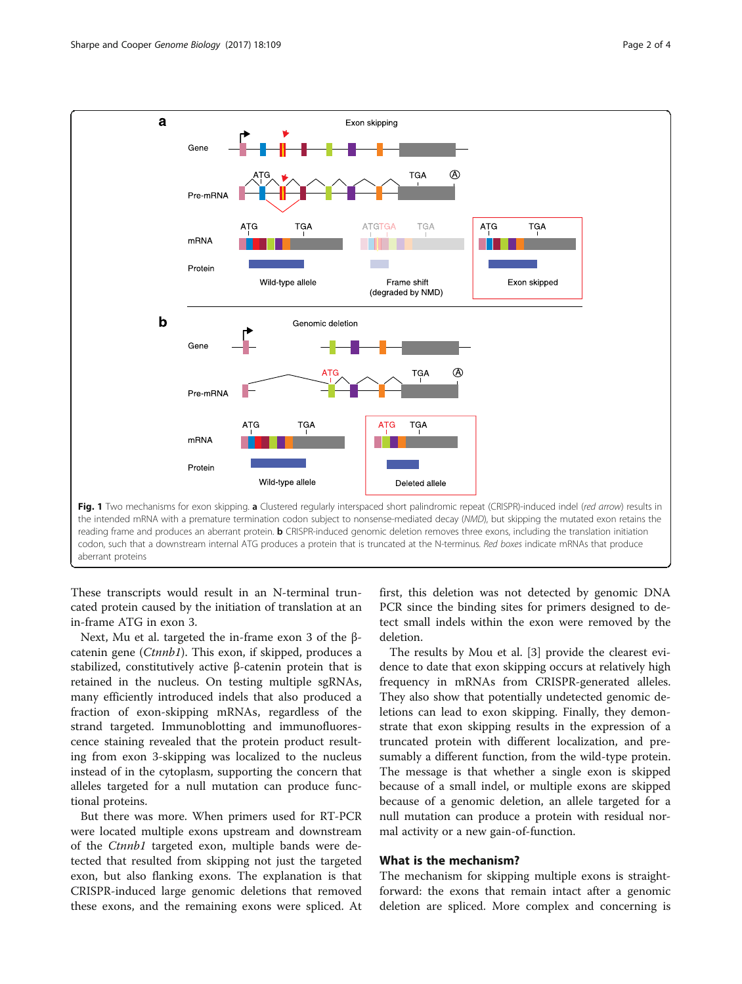<span id="page-1-0"></span>

reading frame and produces an aberrant protein. **b** CRISPR-induced genomic deletion removes three exons, including the translation initiation codon, such that a downstream internal ATG produces a protein that is truncated at the N-terminus. Red boxes indicate mRNAs that produce aberrant proteins

These transcripts would result in an N-terminal truncated protein caused by the initiation of translation at an in-frame ATG in exon 3.

Next, Mu et al. targeted the in-frame exon 3 of the βcatenin gene (Ctnnb1). This exon, if skipped, produces a stabilized, constitutively active β-catenin protein that is retained in the nucleus. On testing multiple sgRNAs, many efficiently introduced indels that also produced a fraction of exon-skipping mRNAs, regardless of the strand targeted. Immunoblotting and immunofluorescence staining revealed that the protein product resulting from exon 3-skipping was localized to the nucleus instead of in the cytoplasm, supporting the concern that alleles targeted for a null mutation can produce functional proteins.

But there was more. When primers used for RT-PCR were located multiple exons upstream and downstream of the Ctnnb1 targeted exon, multiple bands were detected that resulted from skipping not just the targeted exon, but also flanking exons. The explanation is that CRISPR-induced large genomic deletions that removed these exons, and the remaining exons were spliced. At first, this deletion was not detected by genomic DNA PCR since the binding sites for primers designed to detect small indels within the exon were removed by the deletion.

The results by Mou et al. [\[3](#page-2-0)] provide the clearest evidence to date that exon skipping occurs at relatively high frequency in mRNAs from CRISPR-generated alleles. They also show that potentially undetected genomic deletions can lead to exon skipping. Finally, they demonstrate that exon skipping results in the expression of a truncated protein with different localization, and presumably a different function, from the wild-type protein. The message is that whether a single exon is skipped because of a small indel, or multiple exons are skipped because of a genomic deletion, an allele targeted for a null mutation can produce a protein with residual normal activity or a new gain-of-function.

# What is the mechanism?

The mechanism for skipping multiple exons is straightforward: the exons that remain intact after a genomic deletion are spliced. More complex and concerning is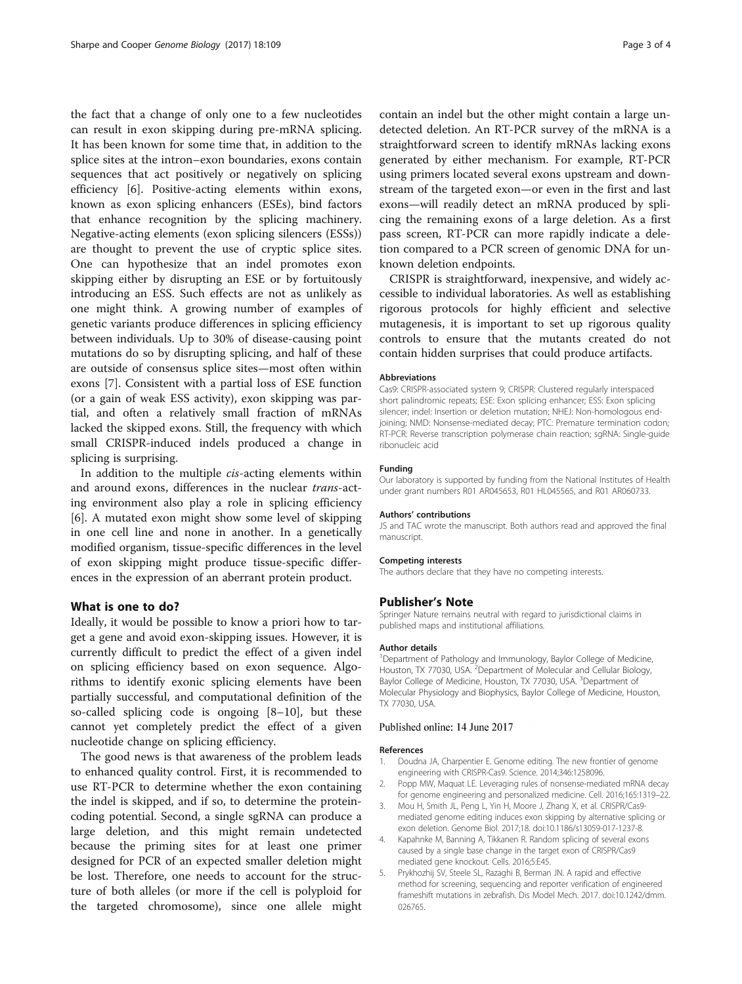<span id="page-2-0"></span>the fact that a change of only one to a few nucleotides can result in exon skipping during pre-mRNA splicing. It has been known for some time that, in addition to the splice sites at the intron–exon boundaries, exons contain sequences that act positively or negatively on splicing efficiency [[6\]](#page-3-0). Positive-acting elements within exons, known as exon splicing enhancers (ESEs), bind factors that enhance recognition by the splicing machinery. Negative-acting elements (exon splicing silencers (ESSs)) are thought to prevent the use of cryptic splice sites. One can hypothesize that an indel promotes exon skipping either by disrupting an ESE or by fortuitously introducing an ESS. Such effects are not as unlikely as one might think. A growing number of examples of genetic variants produce differences in splicing efficiency between individuals. Up to 30% of disease-causing point mutations do so by disrupting splicing, and half of these are outside of consensus splice sites—most often within exons [[7\]](#page-3-0). Consistent with a partial loss of ESE function (or a gain of weak ESS activity), exon skipping was partial, and often a relatively small fraction of mRNAs lacked the skipped exons. Still, the frequency with which small CRISPR-induced indels produced a change in splicing is surprising.

In addition to the multiple cis-acting elements within and around exons, differences in the nuclear trans-acting environment also play a role in splicing efficiency [[6\]](#page-3-0). A mutated exon might show some level of skipping in one cell line and none in another. In a genetically modified organism, tissue-specific differences in the level of exon skipping might produce tissue-specific differences in the expression of an aberrant protein product.

### What is one to do?

Ideally, it would be possible to know a priori how to target a gene and avoid exon-skipping issues. However, it is currently difficult to predict the effect of a given indel on splicing efficiency based on exon sequence. Algorithms to identify exonic splicing elements have been partially successful, and computational definition of the so-called splicing code is ongoing [\[8](#page-3-0)–[10\]](#page-3-0), but these cannot yet completely predict the effect of a given nucleotide change on splicing efficiency.

The good news is that awareness of the problem leads to enhanced quality control. First, it is recommended to use RT-PCR to determine whether the exon containing the indel is skipped, and if so, to determine the proteincoding potential. Second, a single sgRNA can produce a large deletion, and this might remain undetected because the priming sites for at least one primer designed for PCR of an expected smaller deletion might be lost. Therefore, one needs to account for the structure of both alleles (or more if the cell is polyploid for the targeted chromosome), since one allele might contain an indel but the other might contain a large undetected deletion. An RT-PCR survey of the mRNA is a straightforward screen to identify mRNAs lacking exons generated by either mechanism. For example, RT-PCR using primers located several exons upstream and downstream of the targeted exon—or even in the first and last exons—will readily detect an mRNA produced by splicing the remaining exons of a large deletion. As a first pass screen, RT-PCR can more rapidly indicate a deletion compared to a PCR screen of genomic DNA for unknown deletion endpoints.

CRISPR is straightforward, inexpensive, and widely accessible to individual laboratories. As well as establishing rigorous protocols for highly efficient and selective mutagenesis, it is important to set up rigorous quality controls to ensure that the mutants created do not contain hidden surprises that could produce artifacts.

#### Abbreviations

Cas9: CRISPR-associated system 9; CRISPR: Clustered regularly interspaced short palindromic repeats; ESE: Exon splicing enhancer; ESS: Exon splicing silencer; indel: Insertion or deletion mutation; NHEJ: Non-homologous endjoining; NMD: Nonsense-mediated decay; PTC: Premature termination codon; RT-PCR: Reverse transcription polymerase chain reaction; sgRNA: Single-guide ribonucleic acid

#### Funding

Our laboratory is supported by funding from the National Institutes of Health under grant numbers R01 AR045653, R01 HL045565, and R01 AR060733.

#### Authors' contributions

JS and TAC wrote the manuscript. Both authors read and approved the final manuscript.

#### Competing interests

The authors declare that they have no competing interests.

#### Publisher's Note

Springer Nature remains neutral with regard to jurisdictional claims in published maps and institutional affiliations.

#### Author details

<sup>1</sup>Department of Pathology and Immunology, Baylor College of Medicine, Houston, TX 77030, USA. <sup>2</sup> Department of Molecular and Cellular Biology, Baylor College of Medicine, Houston, TX 77030, USA. <sup>3</sup>Department of Molecular Physiology and Biophysics, Baylor College of Medicine, Houston, TX 77030, USA.

#### Published online: 14 June 2017

#### References

- 1. Doudna JA, Charpentier E. Genome editing. The new frontier of genome engineering with CRISPR-Cas9. Science. 2014;346:1258096.
- 2. Popp MW, Maquat LE. Leveraging rules of nonsense-mediated mRNA decay for genome engineering and personalized medicine. Cell. 2016;165:1319–22.
- Mou H, Smith JL, Peng L, Yin H, Moore J, Zhang X, et al. CRISPR/Cas9mediated genome editing induces exon skipping by alternative splicing or exon deletion. Genome Biol. 2017;18. doi[:10.1186/s13059-017-1237-8.](http://dx.doi.org/10.1186/s13059-017-1237-8)
- 4. Kapahnke M, Banning A, Tikkanen R. Random splicing of several exons caused by a single base change in the target exon of CRISPR/Cas9 mediated gene knockout. Cells. 2016;5:E45.
- 5. Prykhozhij SV, Steele SL, Razaghi B, Berman JN. A rapid and effective method for screening, sequencing and reporter verification of engineered frameshift mutations in zebrafish. Dis Model Mech. 2017. doi[:10.1242/dmm.](http://dx.doi.org/10.1242/dmm.026765) [026765](http://dx.doi.org/10.1242/dmm.026765).